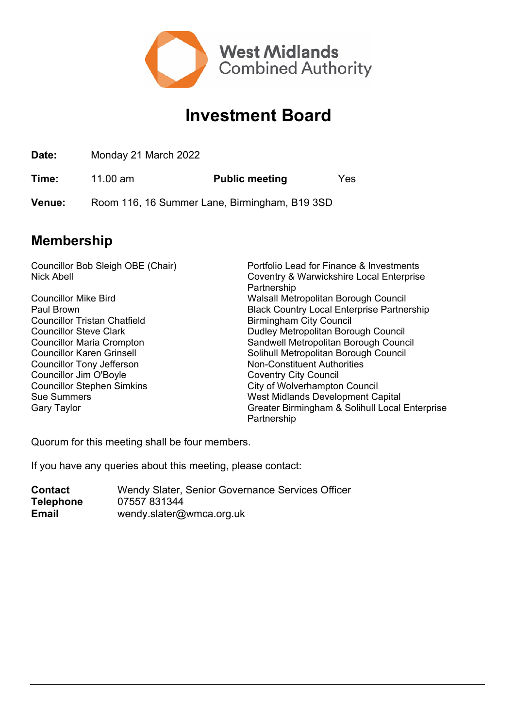

## **Investment Board**

**Date:** Monday 21 March 2022

**Time:** 11.00 am **Public meeting** Yes

**Venue:** Room 116, 16 Summer Lane, Birmingham, B19 3SD

## **Membership**

Councillor Bob Sleigh OBE (Chair) Portfolio Lead for Finance & Investments Nick Abell Coventry & Warwickshire Local Enterprise Partnership Councillor Mike Bird Walsall Metropolitan Borough Council **Black Country Local Enterprise Partnership** Councillor Tristan Chatfield **Birmingham City Council** Councillor Steve Clark **Dudley Metropolitan Borough Council** Councillor Maria Crompton Sandwell Metropolitan Borough Council Councillor Karen Grinsell Solihull Metropolitan Borough Council Councillor Tony Jefferson Non-Constituent Authorities Councillor Jim O'Boyle Coventry City Council Councillor Stephen Simkins City of Wolverhampton Council Sue Summers West Midlands Development Capital Gary Taylor Greater Birmingham & Solihull Local Enterprise Partnership

Quorum for this meeting shall be four members.

If you have any queries about this meeting, please contact:

**Contact** Wendy Slater, Senior Governance Services Officer **Telephone** 07557 831344 **Email** wendy.slater@wmca.org.uk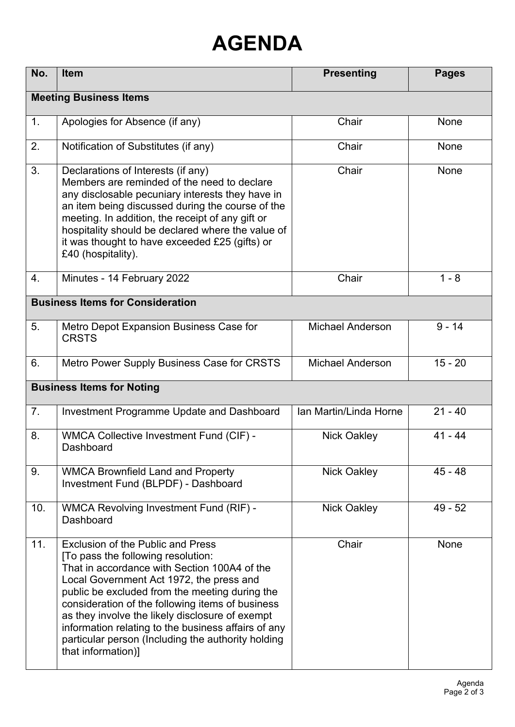## **AGENDA**

| No.                                     | Item                                                                                                                                                                                                                                                                                                                                                                                                                                                                   | <b>Presenting</b>       | <b>Pages</b> |  |  |
|-----------------------------------------|------------------------------------------------------------------------------------------------------------------------------------------------------------------------------------------------------------------------------------------------------------------------------------------------------------------------------------------------------------------------------------------------------------------------------------------------------------------------|-------------------------|--------------|--|--|
| <b>Meeting Business Items</b>           |                                                                                                                                                                                                                                                                                                                                                                                                                                                                        |                         |              |  |  |
| 1.                                      | Apologies for Absence (if any)                                                                                                                                                                                                                                                                                                                                                                                                                                         | Chair                   | None         |  |  |
| 2.                                      | Notification of Substitutes (if any)                                                                                                                                                                                                                                                                                                                                                                                                                                   | Chair                   | <b>None</b>  |  |  |
| 3.                                      | Declarations of Interests (if any)<br>Members are reminded of the need to declare<br>any disclosable pecuniary interests they have in<br>an item being discussed during the course of the<br>meeting. In addition, the receipt of any gift or<br>hospitality should be declared where the value of<br>it was thought to have exceeded £25 (gifts) or<br>£40 (hospitality).                                                                                             | Chair                   | None         |  |  |
| 4.                                      | Minutes - 14 February 2022                                                                                                                                                                                                                                                                                                                                                                                                                                             | Chair                   | $1 - 8$      |  |  |
| <b>Business Items for Consideration</b> |                                                                                                                                                                                                                                                                                                                                                                                                                                                                        |                         |              |  |  |
| 5.                                      | Metro Depot Expansion Business Case for<br><b>CRSTS</b>                                                                                                                                                                                                                                                                                                                                                                                                                | <b>Michael Anderson</b> | $9 - 14$     |  |  |
| 6.                                      | Metro Power Supply Business Case for CRSTS                                                                                                                                                                                                                                                                                                                                                                                                                             | <b>Michael Anderson</b> | $15 - 20$    |  |  |
| <b>Business Items for Noting</b>        |                                                                                                                                                                                                                                                                                                                                                                                                                                                                        |                         |              |  |  |
| 7 <sub>1</sub>                          | Investment Programme Update and Dashboard                                                                                                                                                                                                                                                                                                                                                                                                                              | Ian Martin/Linda Horne  | $21 - 40$    |  |  |
| 8.                                      | <b>WMCA Collective Investment Fund (CIF) -</b><br>Dashboard                                                                                                                                                                                                                                                                                                                                                                                                            | <b>Nick Oakley</b>      | $41 - 44$    |  |  |
| 9.                                      | <b>WMCA Brownfield Land and Property</b><br>Investment Fund (BLPDF) - Dashboard                                                                                                                                                                                                                                                                                                                                                                                        | <b>Nick Oakley</b>      | $45 - 48$    |  |  |
| 10.                                     | WMCA Revolving Investment Fund (RIF) -<br>Dashboard                                                                                                                                                                                                                                                                                                                                                                                                                    | <b>Nick Oakley</b>      | $49 - 52$    |  |  |
| 11.                                     | <b>Exclusion of the Public and Press</b><br>[To pass the following resolution:<br>That in accordance with Section 100A4 of the<br>Local Government Act 1972, the press and<br>public be excluded from the meeting during the<br>consideration of the following items of business<br>as they involve the likely disclosure of exempt<br>information relating to the business affairs of any<br>particular person (Including the authority holding<br>that information)] | Chair                   | <b>None</b>  |  |  |